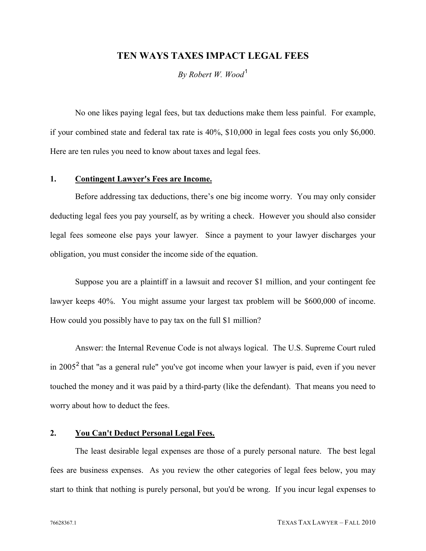# **TEN WAYS TAXES IMPACT LEGAL FEES**

*By Robert W. Wood*[1](#page-5-0)

No one likes paying legal fees, but tax deductions make them less painful. For example, if your combined state and federal tax rate is 40%, \$10,000 in legal fees costs you only \$6,000. Here are ten rules you need to know about taxes and legal fees.

## **1. Contingent Lawyer's Fees are Income.**

Before addressing tax deductions, there's one big income worry. You may only consider deducting legal fees you pay yourself, as by writing a check. However you should also consider legal fees someone else pays your lawyer. Since a payment to your lawyer discharges your obligation, you must consider the income side of the equation.

Suppose you are a plaintiff in a lawsuit and recover \$1 million, and your contingent fee lawyer keeps 40%. You might assume your largest tax problem will be \$600,000 of income. How could you possibly have to pay tax on the full \$1 million?

Answer: the Internal Revenue Code is not always logical. The U.S. Supreme Court ruled in [2](#page-5-1)005<sup>2</sup> that "as a general rule" you've got income when your lawyer is paid, even if you never touched the money and it was paid by a third-party (like the defendant). That means you need to worry about how to deduct the fees.

### **2. You Can't Deduct Personal Legal Fees.**

The least desirable legal expenses are those of a purely personal nature. The best legal fees are business expenses. As you review the other categories of legal fees below, you may start to think that nothing is purely personal, but you'd be wrong. If you incur legal expenses to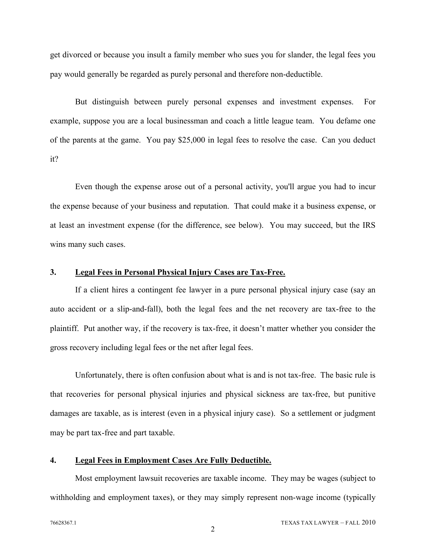get divorced or because you insult a family member who sues you for slander, the legal fees you pay would generally be regarded as purely personal and therefore non-deductible.

But distinguish between purely personal expenses and investment expenses. For example, suppose you are a local businessman and coach a little league team. You defame one of the parents at the game. You pay \$25,000 in legal fees to resolve the case. Can you deduct it?

Even though the expense arose out of a personal activity, you'll argue you had to incur the expense because of your business and reputation. That could make it a business expense, or at least an investment expense (for the difference, see below). You may succeed, but the IRS wins many such cases.

#### **3. Legal Fees in Personal Physical Injury Cases are Tax-Free.**

If a client hires a contingent fee lawyer in a pure personal physical injury case (say an auto accident or a slip-and-fall), both the legal fees and the net recovery are tax-free to the plaintiff. Put another way, if the recovery is tax-free, it doesn't matter whether you consider the gross recovery including legal fees or the net after legal fees.

Unfortunately, there is often confusion about what is and is not tax-free. The basic rule is that recoveries for personal physical injuries and physical sickness are tax-free, but punitive damages are taxable, as is interest (even in a physical injury case). So a settlement or judgment may be part tax-free and part taxable.

#### **4. Legal Fees in Employment Cases Are Fully Deductible.**

Most employment lawsuit recoveries are taxable income. They may be wages (subject to withholding and employment taxes), or they may simply represent non-wage income (typically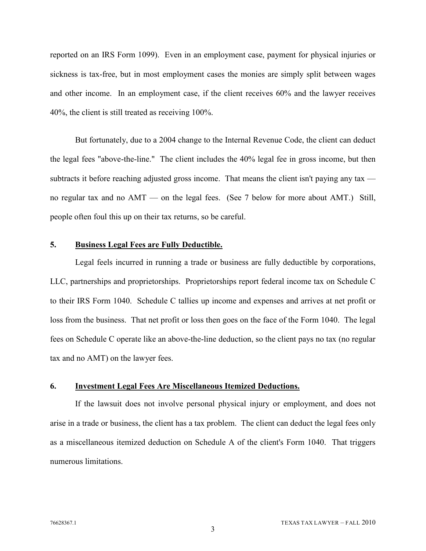reported on an IRS Form 1099). Even in an employment case, payment for physical injuries or sickness is tax-free, but in most employment cases the monies are simply split between wages and other income. In an employment case, if the client receives 60% and the lawyer receives 40%, the client is still treated as receiving 100%.

But fortunately, due to a 2004 change to the Internal Revenue Code, the client can deduct the legal fees "above-the-line." The client includes the 40% legal fee in gross income, but then subtracts it before reaching adjusted gross income. That means the client isn't paying any tax no regular tax and no AMT — on the legal fees. (See 7 below for more about AMT.) Still, people often foul this up on their tax returns, so be careful.

#### **5. Business Legal Fees are Fully Deductible.**

Legal feels incurred in running a trade or business are fully deductible by corporations, LLC, partnerships and proprietorships. Proprietorships report federal income tax on Schedule C to their IRS Form 1040. Schedule C tallies up income and expenses and arrives at net profit or loss from the business. That net profit or loss then goes on the face of the Form 1040. The legal fees on Schedule C operate like an above-the-line deduction, so the client pays no tax (no regular tax and no AMT) on the lawyer fees.

#### **6. Investment Legal Fees Are Miscellaneous Itemized Deductions.**

If the lawsuit does not involve personal physical injury or employment, and does not arise in a trade or business, the client has a tax problem. The client can deduct the legal fees only as a miscellaneous itemized deduction on Schedule A of the client's Form 1040. That triggers numerous limitations.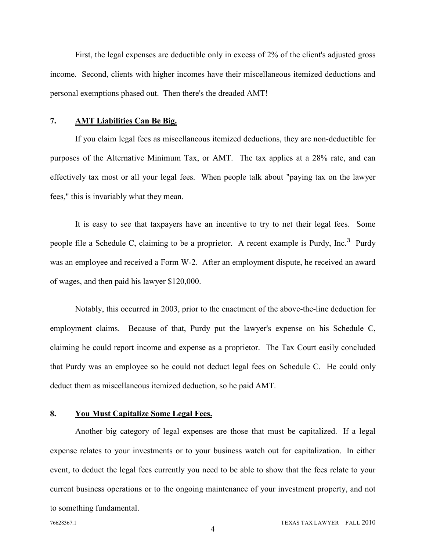First, the legal expenses are deductible only in excess of 2% of the client's adjusted gross income. Second, clients with higher incomes have their miscellaneous itemized deductions and personal exemptions phased out. Then there's the dreaded AMT!

#### **7. AMT Liabilities Can Be Big.**

If you claim legal fees as miscellaneous itemized deductions, they are non-deductible for purposes of the Alternative Minimum Tax, or AMT. The tax applies at a 28% rate, and can effectively tax most or all your legal fees. When people talk about "paying tax on the lawyer fees," this is invariably what they mean.

It is easy to see that taxpayers have an incentive to try to net their legal fees. Some people file a Schedule C, claiming to be a proprietor. A recent example is Purdy, Inc.<sup>[3](#page-5-2)</sup> Purdy was an employee and received a Form W-2. After an employment dispute, he received an award of wages, and then paid his lawyer \$120,000.

Notably, this occurred in 2003, prior to the enactment of the above-the-line deduction for employment claims. Because of that, Purdy put the lawyer's expense on his Schedule C, claiming he could report income and expense as a proprietor. The Tax Court easily concluded that Purdy was an employee so he could not deduct legal fees on Schedule C. He could only deduct them as miscellaneous itemized deduction, so he paid AMT.

#### **8. You Must Capitalize Some Legal Fees.**

Another big category of legal expenses are those that must be capitalized. If a legal expense relates to your investments or to your business watch out for capitalization. In either event, to deduct the legal fees currently you need to be able to show that the fees relate to your current business operations or to the ongoing maintenance of your investment property, and not to something fundamental.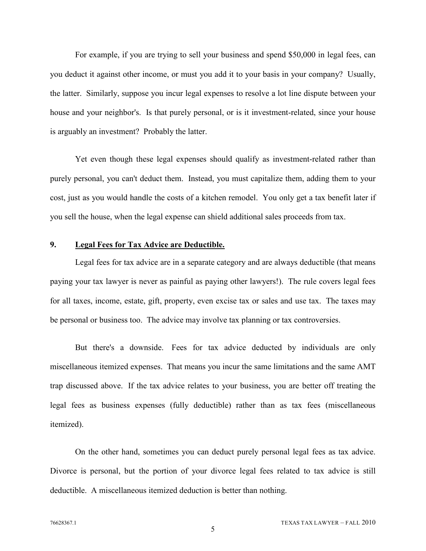For example, if you are trying to sell your business and spend \$50,000 in legal fees, can you deduct it against other income, or must you add it to your basis in your company? Usually, the latter. Similarly, suppose you incur legal expenses to resolve a lot line dispute between your house and your neighbor's. Is that purely personal, or is it investment-related, since your house is arguably an investment? Probably the latter.

Yet even though these legal expenses should qualify as investment-related rather than purely personal, you can't deduct them. Instead, you must capitalize them, adding them to your cost, just as you would handle the costs of a kitchen remodel. You only get a tax benefit later if you sell the house, when the legal expense can shield additional sales proceeds from tax.

#### **9. Legal Fees for Tax Advice are Deductible.**

Legal fees for tax advice are in a separate category and are always deductible (that means paying your tax lawyer is never as painful as paying other lawyers!). The rule covers legal fees for all taxes, income, estate, gift, property, even excise tax or sales and use tax. The taxes may be personal or business too. The advice may involve tax planning or tax controversies.

But there's a downside. Fees for tax advice deducted by individuals are only miscellaneous itemized expenses. That means you incur the same limitations and the same AMT trap discussed above. If the tax advice relates to your business, you are better off treating the legal fees as business expenses (fully deductible) rather than as tax fees (miscellaneous itemized).

On the other hand, sometimes you can deduct purely personal legal fees as tax advice. Divorce is personal, but the portion of your divorce legal fees related to tax advice is still deductible. A miscellaneous itemized deduction is better than nothing.

5